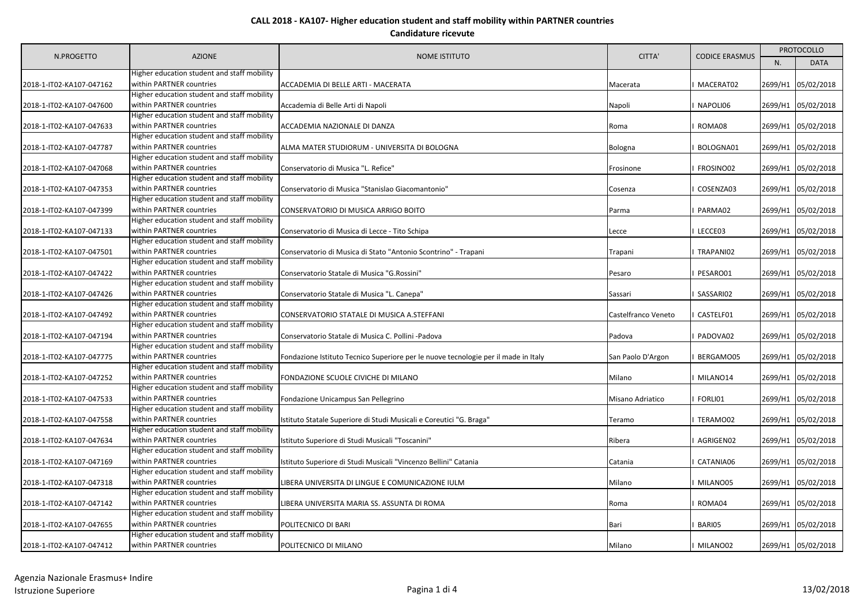| N.PROGETTO               | <b>AZIONE</b>                                                           | <b>NOME ISTITUTO</b>                                                               | CITTA'              | <b>CODICE ERASMUS</b> | PROTOCOLLO |                    |
|--------------------------|-------------------------------------------------------------------------|------------------------------------------------------------------------------------|---------------------|-----------------------|------------|--------------------|
|                          |                                                                         |                                                                                    |                     |                       | N.         | <b>DATA</b>        |
| 2018-1-IT02-KA107-047162 | Higher education student and staff mobility<br>within PARTNER countries | ACCADEMIA DI BELLE ARTI - MACERATA                                                 | Macerata            | MACERAT02             | 2699/H1    | 05/02/2018         |
| 2018-1-IT02-KA107-047600 | Higher education student and staff mobility<br>within PARTNER countries | Accademia di Belle Arti di Napoli                                                  | Napoli              | I NAPOLI06            | 2699/H1    | 05/02/2018         |
| 2018-1-IT02-KA107-047633 | Higher education student and staff mobility<br>within PARTNER countries | ACCADEMIA NAZIONALE DI DANZA                                                       | Roma                | ROMA08                | 2699/H1    | 05/02/2018         |
| 2018-1-IT02-KA107-047787 | Higher education student and staff mobility<br>within PARTNER countries | ALMA MATER STUDIORUM - UNIVERSITA DI BOLOGNA                                       | Bologna             | BOLOGNA01             |            | 2699/H1 05/02/2018 |
| 2018-1-IT02-KA107-047068 | Higher education student and staff mobility<br>within PARTNER countries | Conservatorio di Musica "L. Refice"                                                | Frosinone           | FROSINO02             | 2699/H1    | 05/02/2018         |
| 2018-1-IT02-KA107-047353 | Higher education student and staff mobility<br>within PARTNER countries | Conservatorio di Musica "Stanislao Giacomantonio"                                  | Cosenza             | COSENZA03             |            | 2699/H1 05/02/2018 |
| 2018-1-IT02-KA107-047399 | Higher education student and staff mobility<br>within PARTNER countries | CONSERVATORIO DI MUSICA ARRIGO BOITO                                               | Parma               | PARMA02               | 2699/H1    | 05/02/2018         |
| 2018-1-IT02-KA107-047133 | Higher education student and staff mobility<br>within PARTNER countries | Conservatorio di Musica di Lecce - Tito Schipa                                     | Lecce               | I LECCE03             |            | 2699/H1 05/02/2018 |
| 2018-1-IT02-KA107-047501 | Higher education student and staff mobility<br>within PARTNER countries | Conservatorio di Musica di Stato "Antonio Scontrino" - Trapani                     | Trapani             | TRAPANI02             |            | 2699/H1 05/02/2018 |
| 2018-1-IT02-KA107-047422 | Higher education student and staff mobility<br>within PARTNER countries | Conservatorio Statale di Musica "G.Rossini"                                        | Pesaro              | PESARO01              |            | 2699/H1 05/02/2018 |
| 2018-1-IT02-KA107-047426 | Higher education student and staff mobility<br>within PARTNER countries | Conservatorio Statale di Musica "L. Canepa"                                        | Sassari             | SASSARI02             |            | 2699/H1 05/02/2018 |
| 2018-1-IT02-KA107-047492 | Higher education student and staff mobility<br>within PARTNER countries | CONSERVATORIO STATALE DI MUSICA A.STEFFANI                                         | Castelfranco Veneto | CASTELF01             |            | 2699/H1 05/02/2018 |
| 2018-1-IT02-KA107-047194 | Higher education student and staff mobility<br>within PARTNER countries | Conservatorio Statale di Musica C. Pollini -Padova                                 | Padova              | PADOVA02              | 2699/H1    | 05/02/2018         |
| 2018-1-IT02-KA107-047775 | Higher education student and staff mobility<br>within PARTNER countries | Fondazione Istituto Tecnico Superiore per le nuove tecnologie per il made in Italy | San Paolo D'Argon   | BERGAMO05             | 2699/H1    | 05/02/2018         |
| 2018-1-IT02-KA107-047252 | Higher education student and staff mobility<br>within PARTNER countries | FONDAZIONE SCUOLE CIVICHE DI MILANO                                                | Milano              | MILANO14              | 2699/H1    | 05/02/2018         |
| 2018-1-IT02-KA107-047533 | Higher education student and staff mobility<br>within PARTNER countries | Fondazione Unicampus San Pellegrino                                                | Misano Adriatico    | FORLI01               | 2699/H1    | 05/02/2018         |
| 2018-1-IT02-KA107-047558 | Higher education student and staff mobility<br>within PARTNER countries | Istituto Statale Superiore di Studi Musicali e Coreutici "G. Braga"                | Teramo              | TERAMO02              |            | 2699/H1 05/02/2018 |
| 2018-1-IT02-KA107-047634 | Higher education student and staff mobility<br>within PARTNER countries | Istituto Superiore di Studi Musicali "Toscanini"                                   | Ribera              | AGRIGEN02             | 2699/H1    | 05/02/2018         |
| 2018-1-IT02-KA107-047169 | Higher education student and staff mobility<br>within PARTNER countries | Istituto Superiore di Studi Musicali "Vincenzo Bellini" Catania                    | Catania             | CATANIA06             | 2699/H1    | 05/02/2018         |
| 2018-1-IT02-KA107-047318 | Higher education student and staff mobility<br>within PARTNER countries | LIBERA UNIVERSITA DI LINGUE E COMUNICAZIONE IULM                                   | Milano              | MILANO05              | 2699/H1    | 05/02/2018         |
| 2018-1-IT02-KA107-047142 | Higher education student and staff mobility<br>within PARTNER countries | LIBERA UNIVERSITA MARIA SS. ASSUNTA DI ROMA                                        | Roma                | ROMA04                |            | 2699/H1 05/02/2018 |
| 2018-1-IT02-KA107-047655 | Higher education student and staff mobility<br>within PARTNER countries | POLITECNICO DI BARI                                                                | Bari                | BARI05                |            | 2699/H1 05/02/2018 |
| 2018-1-IT02-KA107-047412 | Higher education student and staff mobility<br>within PARTNER countries | POLITECNICO DI MILANO                                                              | Milano              | I MILANO02            |            | 2699/H1 05/02/2018 |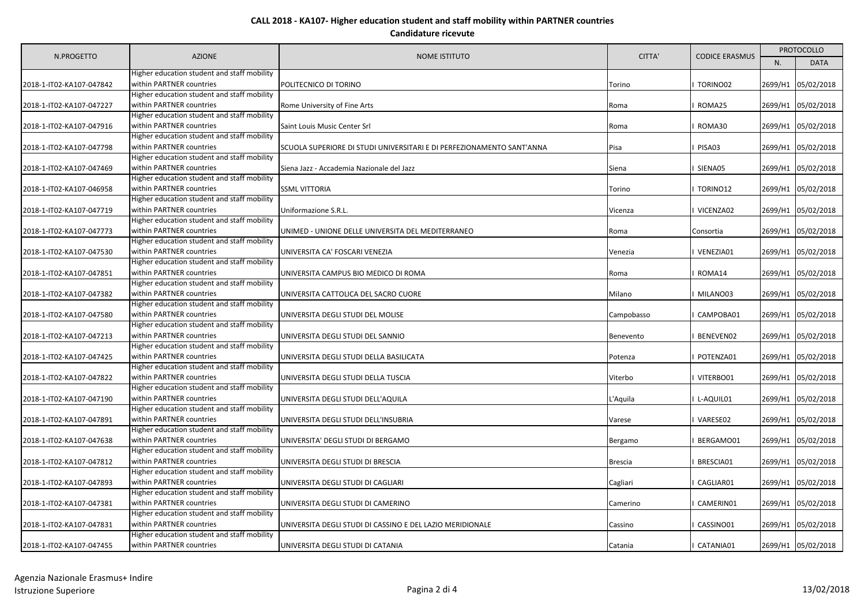| N.PROGETTO               | <b>AZIONE</b>                                                                                                          | <b>NOME ISTITUTO</b>                                                  | CITTA'         | <b>CODICE ERASMUS</b> | PROTOCOLLO |                    |
|--------------------------|------------------------------------------------------------------------------------------------------------------------|-----------------------------------------------------------------------|----------------|-----------------------|------------|--------------------|
|                          |                                                                                                                        |                                                                       |                |                       | N.         | <b>DATA</b>        |
| 2018-1-IT02-KA107-047842 | Higher education student and staff mobility<br>within PARTNER countries                                                | POLITECNICO DI TORINO                                                 | Torino         | TORINO02              | 2699/H1    | 05/02/2018         |
| 2018-1-IT02-KA107-047227 | Higher education student and staff mobility<br>within PARTNER countries                                                | Rome University of Fine Arts                                          | Roma           | ROMA25                | 2699/H1    | 05/02/2018         |
| 2018-1-IT02-KA107-047916 | Higher education student and staff mobility<br>within PARTNER countries                                                | Saint Louis Music Center Srl                                          | Roma           | ROMA30                | 2699/H1    | 05/02/2018         |
| 2018-1-IT02-KA107-047798 | Higher education student and staff mobility<br>within PARTNER countries                                                | SCUOLA SUPERIORE DI STUDI UNIVERSITARI E DI PERFEZIONAMENTO SANT'ANNA | Pisa           | PISA03                | 2699/H1    | 05/02/2018         |
| 2018-1-IT02-KA107-047469 | Higher education student and staff mobility<br>within PARTNER countries                                                | Siena Jazz - Accademia Nazionale del Jazz                             | Siena          | SIENA05               | 2699/H1    | 05/02/2018         |
| 2018-1-IT02-KA107-046958 | Higher education student and staff mobility<br>within PARTNER countries<br>Higher education student and staff mobility | <b>SSML VITTORIA</b>                                                  | Torino         | TORINO12              | 2699/H1    | 05/02/2018         |
| 2018-1-IT02-KA107-047719 | within PARTNER countries<br>Higher education student and staff mobility                                                | Uniformazione S.R.L.                                                  | Vicenza        | VICENZA02             | 2699/H1    | 05/02/2018         |
| 2018-1-IT02-KA107-047773 | within PARTNER countries<br>Higher education student and staff mobility                                                | UNIMED - UNIONE DELLE UNIVERSITA DEL MEDITERRANEO                     | Roma           | Consortia             | 2699/H1    | 05/02/2018         |
| 2018-1-IT02-KA107-047530 | within PARTNER countries<br>Higher education student and staff mobility                                                | UNIVERSITA CA' FOSCARI VENEZIA                                        | Venezia        | VENEZIA01             | 2699/H1    | 05/02/2018         |
| 2018-1-IT02-KA107-047851 | within PARTNER countries<br>Higher education student and staff mobility                                                | UNIVERSITA CAMPUS BIO MEDICO DI ROMA                                  | Roma           | ROMA14                | 2699/H1    | 05/02/2018         |
| 2018-1-IT02-KA107-047382 | within PARTNER countries<br>Higher education student and staff mobility                                                | UNIVERSITA CATTOLICA DEL SACRO CUORE                                  | Milano         | MILANO03              | 2699/H1    | 05/02/2018         |
| 2018-1-IT02-KA107-047580 | within PARTNER countries<br>Higher education student and staff mobility                                                | UNIVERSITA DEGLI STUDI DEL MOLISE                                     | Campobasso     | CAMPOBA01             | 2699/H1    | 05/02/2018         |
| 2018-1-IT02-KA107-047213 | within PARTNER countries<br>Higher education student and staff mobility                                                | UNIVERSITA DEGLI STUDI DEL SANNIO                                     | Benevento      | BENEVEN02             | 2699/H1    | 05/02/2018         |
| 2018-1-IT02-KA107-047425 | within PARTNER countries<br>Higher education student and staff mobility                                                | UNIVERSITA DEGLI STUDI DELLA BASILICATA                               | Potenza        | POTENZA01             | 2699/H1    | 05/02/2018         |
| 2018-1-IT02-KA107-047822 | within PARTNER countries<br>Higher education student and staff mobility                                                | UNIVERSITA DEGLI STUDI DELLA TUSCIA                                   | Viterbo        | VITERBO01             | 2699/H1    | 05/02/2018         |
| 2018-1-IT02-KA107-047190 | within PARTNER countries<br>Higher education student and staff mobility                                                | UNIVERSITA DEGLI STUDI DELL'AQUILA                                    | L'Aquila       | L-AQUIL01             | 2699/H1    | 05/02/2018         |
| 2018-1-IT02-KA107-047891 | within PARTNER countries<br>Higher education student and staff mobility                                                | UNIVERSITA DEGLI STUDI DELL'INSUBRIA                                  | Varese         | VARESE02              | 2699/H1    | 05/02/2018         |
| 2018-1-IT02-KA107-047638 | within PARTNER countries<br>Higher education student and staff mobility                                                | UNIVERSITA' DEGLI STUDI DI BERGAMO                                    | Bergamo        | BERGAMO01             | 2699/H1    | 05/02/2018         |
| 2018-1-IT02-KA107-047812 | within PARTNER countries                                                                                               | UNIVERSITA DEGLI STUDI DI BRESCIA                                     | <b>Brescia</b> | BRESCIA01             | 2699/H1    | 05/02/2018         |
| 2018-1-IT02-KA107-047893 | Higher education student and staff mobility<br>within PARTNER countries                                                | UNIVERSITA DEGLI STUDI DI CAGLIARI                                    | Cagliari       | CAGLIAR01             | 2699/H1    | 05/02/2018         |
| 2018-1-IT02-KA107-047381 | Higher education student and staff mobility<br>within PARTNER countries                                                | UNIVERSITA DEGLI STUDI DI CAMERINO                                    | Camerino       | CAMERIN01             | 2699/H1    | 05/02/2018         |
| 2018-1-IT02-KA107-047831 | Higher education student and staff mobility<br>within PARTNER countries                                                | UNIVERSITA DEGLI STUDI DI CASSINO E DEL LAZIO MERIDIONALE             | Cassino        | CASSINO01             | 2699/H1    | 05/02/2018         |
| 2018-1-IT02-KA107-047455 | Higher education student and staff mobility<br>within PARTNER countries                                                | UNIVERSITA DEGLI STUDI DI CATANIA                                     | Catania        | CATANIA01             |            | 2699/H1 05/02/2018 |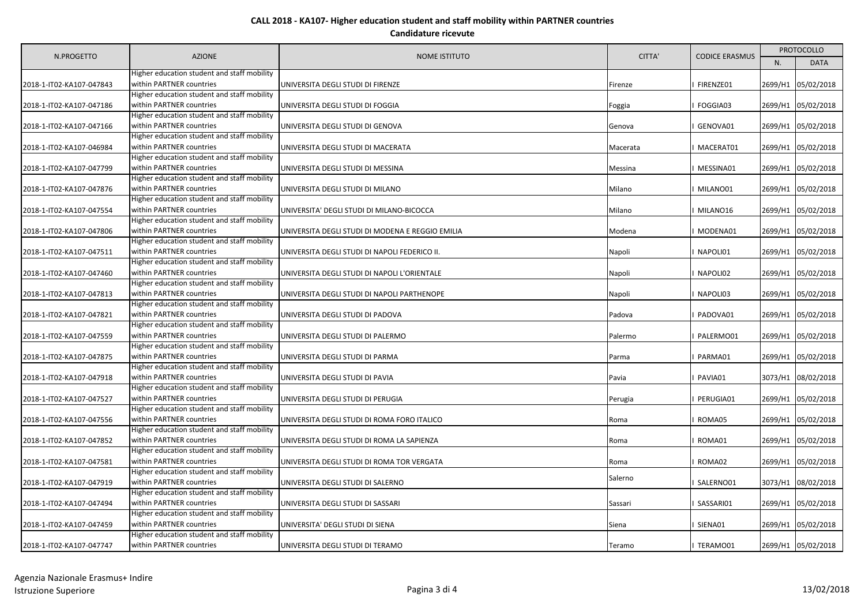| N.PROGETTO               | <b>AZIONE</b>                                                           | <b>NOME ISTITUTO</b>                             | CITTA'   | <b>CODICE ERASMUS</b> | PROTOCOLLO |                    |
|--------------------------|-------------------------------------------------------------------------|--------------------------------------------------|----------|-----------------------|------------|--------------------|
|                          |                                                                         |                                                  |          |                       | N.         | <b>DATA</b>        |
| 2018-1-IT02-KA107-047843 | Higher education student and staff mobility<br>within PARTNER countries | UNIVERSITA DEGLI STUDI DI FIRENZE                | Firenze  | FIRENZE01             | 2699/H1    | 05/02/2018         |
| 2018-1-IT02-KA107-047186 | Higher education student and staff mobility<br>within PARTNER countries | UNIVERSITA DEGLI STUDI DI FOGGIA                 | Foggia   | FOGGIA03              | 2699/H1    | 05/02/2018         |
| 2018-1-IT02-KA107-047166 | Higher education student and staff mobility<br>within PARTNER countries | UNIVERSITA DEGLI STUDI DI GENOVA                 | Genova   | GENOVA01              | 2699/H1    | 05/02/2018         |
| 2018-1-IT02-KA107-046984 | Higher education student and staff mobility<br>within PARTNER countries | UNIVERSITA DEGLI STUDI DI MACERATA               | Macerata | MACERAT01             |            | 2699/H1 05/02/2018 |
| 2018-1-IT02-KA107-047799 | Higher education student and staff mobility<br>within PARTNER countries | UNIVERSITA DEGLI STUDI DI MESSINA                | Messina  | MESSINA01             | 2699/H1    | 05/02/2018         |
| 2018-1-IT02-KA107-047876 | Higher education student and staff mobility<br>within PARTNER countries | UNIVERSITA DEGLI STUDI DI MILANO                 | Milano   | MILANO01              |            | 2699/H1 05/02/2018 |
| 2018-1-IT02-KA107-047554 | Higher education student and staff mobility<br>within PARTNER countries | UNIVERSITA' DEGLI STUDI DI MILANO-BICOCCA        | Milano   | MILANO16              | 2699/H1    | 05/02/2018         |
| 2018-1-IT02-KA107-047806 | Higher education student and staff mobility<br>within PARTNER countries | UNIVERSITA DEGLI STUDI DI MODENA E REGGIO EMILIA | Modena   | I MODENA01            |            | 2699/H1 05/02/2018 |
| 2018-1-IT02-KA107-047511 | Higher education student and staff mobility<br>within PARTNER countries | UNIVERSITA DEGLI STUDI DI NAPOLI FEDERICO II.    | Napoli   | NAPOLI01              |            | 2699/H1 05/02/2018 |
| 2018-1-IT02-KA107-047460 | Higher education student and staff mobility<br>within PARTNER countries | UNIVERSITA DEGLI STUDI DI NAPOLI L'ORIENTALE     | Napoli   | NAPOLI02              |            | 2699/H1 05/02/2018 |
| 2018-1-IT02-KA107-047813 | Higher education student and staff mobility<br>within PARTNER countries | UNIVERSITA DEGLI STUDI DI NAPOLI PARTHENOPE      | Napoli   | NAPOLI03              |            | 2699/H1 05/02/2018 |
| 2018-1-IT02-KA107-047821 | Higher education student and staff mobility<br>within PARTNER countries | UNIVERSITA DEGLI STUDI DI PADOVA                 | Padova   | PADOVA01              |            | 2699/H1 05/02/2018 |
| 2018-1-IT02-KA107-047559 | Higher education student and staff mobility<br>within PARTNER countries | UNIVERSITA DEGLI STUDI DI PALERMO                | Palermo  | PALERMO01             | 2699/H1    | 05/02/2018         |
| 2018-1-IT02-KA107-047875 | Higher education student and staff mobility<br>within PARTNER countries | UNIVERSITA DEGLI STUDI DI PARMA                  | Parma    | I PARMA01             | 2699/H1    | 05/02/2018         |
| 2018-1-IT02-KA107-047918 | Higher education student and staff mobility<br>within PARTNER countries | UNIVERSITA DEGLI STUDI DI PAVIA                  | Pavia    | PAVIA01               | 3073/H1    | 08/02/2018         |
| 2018-1-IT02-KA107-047527 | Higher education student and staff mobility<br>within PARTNER countries | UNIVERSITA DEGLI STUDI DI PERUGIA                | Perugia  | PERUGIA01             | 2699/H1    | 05/02/2018         |
| 2018-1-IT02-KA107-047556 | Higher education student and staff mobility<br>within PARTNER countries | UNIVERSITA DEGLI STUDI DI ROMA FORO ITALICO      | Roma     | ROMA05                |            | 2699/H1 05/02/2018 |
| 2018-1-IT02-KA107-047852 | Higher education student and staff mobility<br>within PARTNER countries | UNIVERSITA DEGLI STUDI DI ROMA LA SAPIENZA       | Roma     | ROMA01                | 2699/H1    | 05/02/2018         |
| 2018-1-IT02-KA107-047581 | Higher education student and staff mobility<br>within PARTNER countries | UNIVERSITA DEGLI STUDI DI ROMA TOR VERGATA       | Roma     | ROMA02                | 2699/H1    | 05/02/2018         |
| 2018-1-IT02-KA107-047919 | Higher education student and staff mobility<br>within PARTNER countries | UNIVERSITA DEGLI STUDI DI SALERNO                | Salerno  | SALERNO01             | 3073/H1    | 08/02/2018         |
| 2018-1-IT02-KA107-047494 | Higher education student and staff mobility<br>within PARTNER countries | UNIVERSITA DEGLI STUDI DI SASSARI                | Sassari  | SASSARI01             |            | 2699/H1 05/02/2018 |
| 2018-1-IT02-KA107-047459 | Higher education student and staff mobility<br>within PARTNER countries | UNIVERSITA' DEGLI STUDI DI SIENA                 | Siena    | SIENA01               |            | 2699/H1 05/02/2018 |
| 2018-1-IT02-KA107-047747 | Higher education student and staff mobility<br>within PARTNER countries | UNIVERSITA DEGLI STUDI DI TERAMO                 | Teramo   | TERAMO01              |            | 2699/H1 05/02/2018 |